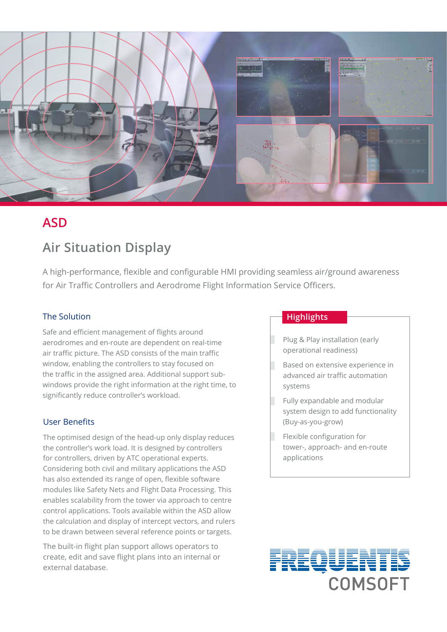

# **ASD**

# **Air Situation Display**

A high-performance, flexible and configurable HMI providing seamless air/ground awareness for Air Traffic Controllers and Aerodrome Flight Information Service Officers.

## The Solution

Safe and efficient management of flights around aerodromes and en-route are dependent on real-time air traffic picture. The ASD consists of the main traffic window, enabling the controllers to stay focused on the traffic in the assigned area. Additional support subwindows provide the right information at the right time, to significantly reduce controller's workload.

## User Benefits

The optimised design of the head-up only display reduces the controller's work load. It is designed by controllers for controllers, driven by ATC operational experts. Considering both civil and military applications the ASD has also extended its range of open, flexible software modules like Safety Nets and Flight Data Processing. This enables scalability from the tower via approach to centre control applications. Tools available within the ASD allow the calculation and display of intercept vectors, and rulers to be drawn between several reference points or targets.

The built-in flight plan support allows operators to create, edit and save flight plans into an internal or external database.

### **Highlights**

- Plug & Play installation (early operational readiness)
- Based on extensive experience in advanced air traffic automation systems
- Fully expandable and modular system design to add functionality (Buy-as-you-grow)
- Flexible configuration for tower-, approach- and en-route applications